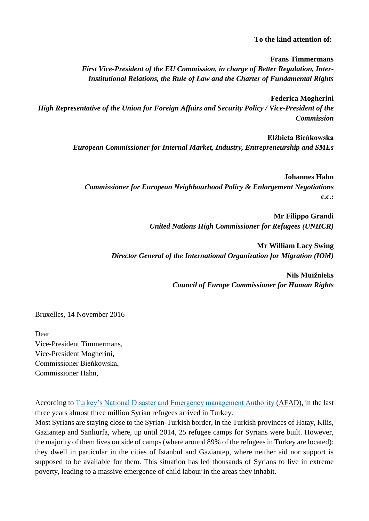## **To the kind attention of:**

**Frans Timmermans** *First Vice-President of the EU Commission, in charge of Better Regulation, Inter-Institutional Relations, the Rule of Law and the Charter of Fundamental Rights*

**Federica Mogherini** *High Representative of the Union for Foreign Affairs and Security Policy / Vice-President of the Commission*

> **Elżbieta Bieńkowska** *European Commissioner for Internal Market, Industry, Entrepreneurship and SMEs*

**Johannes Hahn** *Commissioner for European Neighbourhood Policy & Enlargement Negotiations* **c.c.:**

> **Mr Filippo Grandi**  *United Nations High Commissioner for Refugees (UNHCR)*

**Mr William Lacy Swing** *Director General of the International Organization for Migration (IOM)*

> **Nils Muižnieks** *Council of Europe Commissioner for Human Rights*

Bruxelles, 14 November 2016

Dear Vice-President Timmermans, Vice-President Mogherini, Commissioner Bieńkowska, Commissioner Hahn,

According to [Turkey's National Disaster and Emergency management Authority](https://www.swp-berlin.org/fileadmin/contents/products/arbeitspapiere/Working_paper_Hoffmann_Turkish_immigration_policy.pdf) (AFAD), in the last three years almost three million Syrian refugees arrived in Turkey.

Most Syrians are staying close to the Syrian-Turkish border, in the Turkish provinces of Hatay, Kilis, Gaziantep and Sanliurfa, where, up until 2014, 25 refugee camps for Syrians were built. However, the majority of them lives outside of camps (where around 89% of the refugees in Turkey are located): they dwell in particular in the cities of Istanbul and Gaziantep, where neither aid nor support is supposed to be available for them. This situation has led thousands of Syrians to live in extreme poverty, leading to a massive emergence of child labour in the areas they inhabit.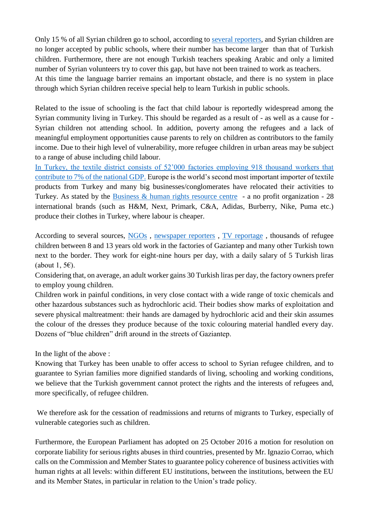Only 15 % of all Syrian children go to school, according to [several reporters,](https://www.swp-berlin.org/fileadmin/contents/products/arbeitspapiere/Working_paper_Hoffmann_Turkish_immigration_policy.pdf) and Syrian children are no longer accepted by public schools, where their number has become larger than that of Turkish children. Furthermore, there are not enough Turkish teachers speaking Arabic and only a limited number of Syrian volunteers try to cover this gap, but have not been trained to work as teachers. At this time the language barrier remains an important obstacle, and there is no system in place through which Syrian children receive special help to learn Turkish in public schools.

Related to the issue of schooling is the fact that child labour is reportedly widespread among the Syrian community living in Turkey. This should be regarded as a result of - as well as a cause for - Syrian children not attending school. In addition, poverty among the refugees and a lack of meaningful employment opportunities cause parents to rely on children as contributors to the family income. Due to their high level of vulnerability, more refugee children in urban areas may be subject to a range of abuse including child labour.

[In Turkey, the textile district consists of 52'000 factories employing 918 thousand workers that](https://www.youtube.com/watch?v=rXgN-jsMbpo)  [contribute to 7% of the national GDP.](https://www.youtube.com/watch?v=rXgN-jsMbpo) Europe is the world's second most important importer of textile products from Turkey and many big businesses/conglomerates have relocated their activities to Turkey. As stated by the [Business & human rights resource centre](https://business-humanrights.org/en/modern-slavery-exploitation/syrian-refugees-abuse-exploitation-in-turkish-garment-factories) - a no profit organization - 28 international brands (such as H&M, Next, Primark, C&A, Adidas, Burberry, Nike, Puma etc.) produce their clothes in Turkey, where labour is cheaper.

According to several sources, [NGOs](https://www.amnesty.org/en/latest/news/2016/06/eus-reckless-refugee-returns-to-turkey-illegal/) , [newspaper reporters](http://www.ilfattoquotidiano.it/premium/articoli/in-turchia-tra-i-bambini-siriani-che-fabbricano-vestiti-per-noi/) , [TV reportage](https://www.youtube.com/watch?v=rXgN-jsMbpo) , thousands of refugee children between 8 and 13 years old work in the factories of Gaziantep and many other Turkish town next to the border. They work for eight-nine hours per day, with a daily salary of 5 Turkish liras (about 1, 5 $\varepsilon$ ).

Considering that, on average, an adult worker gains 30 Turkish liras per day, the factory owners prefer to employ young children.

Children work in painful conditions, in very close contact with a wide range of toxic chemicals and other hazardous substances such as hydrochloric acid. Their bodies show marks of exploitation and severe physical maltreatment: their hands are damaged by hydrochloric acid and their skin assumes the colour of the dresses they produce because of the toxic colouring material handled every day. Dozens of "blue children" drift around in the streets of Gaziantep.

In the light of the above :

Knowing that Turkey has been unable to offer access to school to Syrian refugee children, and to guarantee to Syrian families more dignified standards of living, schooling and working conditions, we believe that the Turkish government cannot protect the rights and the interests of refugees and, more specifically, of refugee children.

We therefore ask for the cessation of readmissions and returns of migrants to Turkey, especially of vulnerable categories such as children.

Furthermore, the European Parliament has adopted on 25 October 2016 a motion for resolution on corporate liability for serious rights abuses in third countries, presented by Mr. Ignazio Corrao, which calls on the Commission and Member States to guarantee policy coherence of business activities with human rights at all levels: within different EU institutions, between the institutions, between the EU and its Member States, in particular in relation to the Union's trade policy.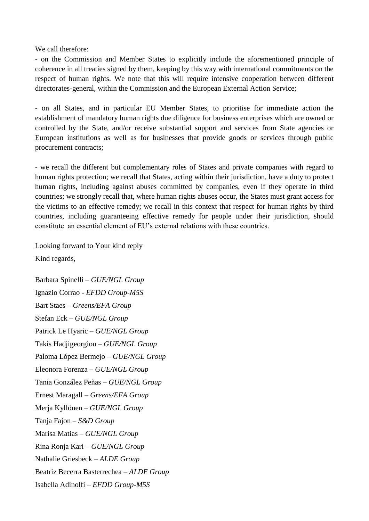We call therefore:

- on the Commission and Member States to explicitly include the aforementioned principle of coherence in all treaties signed by them, keeping by this way with international commitments on the respect of human rights. We note that this will require intensive cooperation between different directorates-general, within the Commission and the European External Action Service;

- on all States, and in particular EU Member States, to prioritise for immediate action the establishment of mandatory human rights due diligence for business enterprises which are owned or controlled by the State, and/or receive substantial support and services from State agencies or European institutions as well as for businesses that provide goods or services through public procurement contracts;

- we recall the different but complementary roles of States and private companies with regard to human rights protection; we recall that States, acting within their jurisdiction, have a duty to protect human rights, including against abuses committed by companies, even if they operate in third countries; we strongly recall that, where human rights abuses occur, the States must grant access for the victims to an effective remedy; we recall in this context that respect for human rights by third countries, including guaranteeing effective remedy for people under their jurisdiction, should constitute an essential element of EU's external relations with these countries.

Looking forward to Your kind reply Kind regards,

Barbara Spinelli – *GUE/NGL Group* Ignazio Corrao - *EFDD Group-M5S* Bart Staes – *Greens/EFA Group* Stefan Eck – *GUE/NGL Group* Patrick Le Hyaric – *GUE/NGL Group* Takis Hadjigeorgiou – *GUE/NGL Group* Paloma López Bermejo – *GUE/NGL Group* Eleonora Forenza – *GUE/NGL Group* Tania González Peñas – *GUE/NGL Group* Ernest Maragall – *Greens/EFA Group* Merja Kyllönen – *GUE/NGL Group* Tanja Fajon – *S&D Group* Marisa Matias – *GUE/NGL Group* Rina Ronja Kari – *GUE/NGL Group* Nathalie Griesbeck – *ALDE Group* Beatriz Becerra Basterrechea – *ALDE Group* Isabella Adinolfi – *EFDD Group-M5S*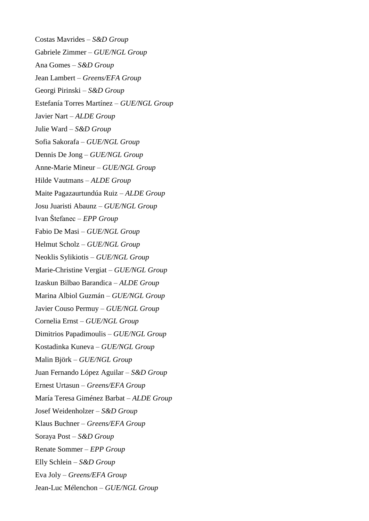Costas Mavrides – *S&D Group* Gabriele Zimmer – *GUE/NGL Group* Ana Gomes – *S&D Group* Jean Lambert – *Greens/EFA Group* Georgi Pirinski – *S&D Group* Estefanía Torres Martínez – *GUE/NGL Group* Javier Nart – *ALDE Group* Julie Ward – *S&D Group* Sofia Sakorafa – *GUE/NGL Group* Dennis De Jong – *GUE/NGL Group* Anne-Marie Mineur – *GUE/NGL Group* Hilde Vautmans – *ALDE Group* Maite Pagazaurtundúa Ruiz – *ALDE Group* Josu Juaristi Abaunz – *GUE/NGL Group* Ivan Štefanec – *EPP Group* Fabio De Masi – *GUE/NGL Group* Helmut Scholz – *GUE/NGL Group* Neoklis Sylikiotis – *GUE/NGL Group* Marie-Christine Vergiat – *GUE/NGL Group* Izaskun Bilbao Barandica – *ALDE Group* Marina Albiol Guzmán – *GUE/NGL Group* Javier Couso Permuy – *GUE/NGL Group* Cornelia Ernst – *GUE/NGL Group* Dimitrios Papadimoulis – *GUE/NGL Group* Kostadinka Kuneva – *GUE/NGL Group* Malin Björk – *GUE/NGL Group* Juan Fernando López Aguilar – *S&D Group* Ernest Urtasun – *Greens/EFA Group* María Teresa Giménez Barbat – *ALDE Group* Josef Weidenholzer – *S&D Group* Klaus Buchner – *Greens/EFA Group* Soraya Post – *S&D Group* Renate Sommer – *EPP Group* Elly Schlein – *S&D Group* Eva Joly – *Greens/EFA Group* Jean-Luc Mélenchon – *GUE/NGL Group*